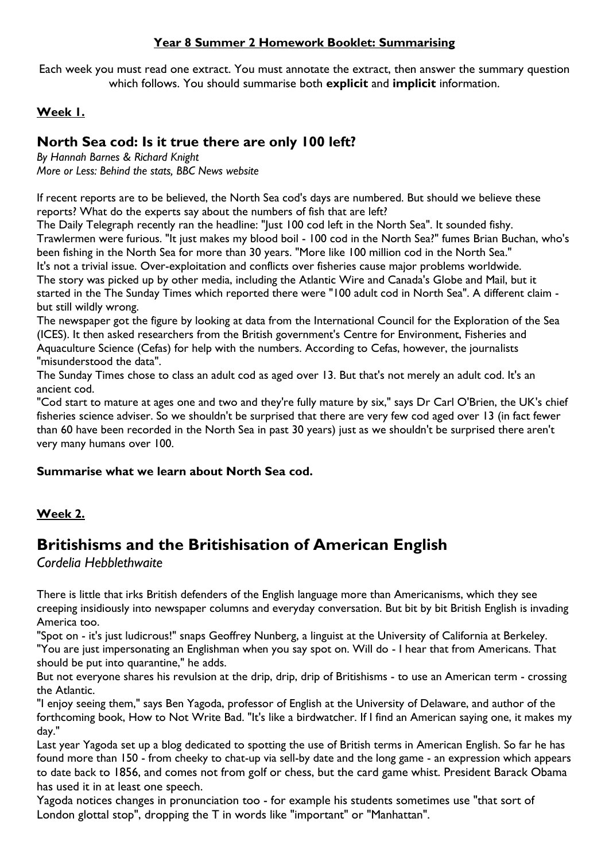## **Year 8 Summer 2 Homework Booklet: Summarising**

Each week you must read one extract. You must annotate the extract, then answer the summary question which follows. You should summarise both **explicit** and **implicit** information.

## **Week 1.**

## **North Sea cod: Is it true there are only 100 left?**

*By Hannah Barnes & Richard Knight More or Less: Behind the stats, BBC News website* 

If recent reports are to be believed, the North Sea cod's days are numbered. But should we believe these reports? What do the experts say about the numbers of fish that are left?

The Daily Telegraph recently ran the headline: "Just 100 cod left in the North Sea". It sounded fishy. Trawlermen were furious. "It just makes my blood boil - 100 cod in the North Sea?" fumes Brian Buchan, who's been fishing in the North Sea for more than 30 years. "More like 100 million cod in the North Sea." It's not a trivial issue. Over-exploitation and conflicts over fisheries cause major problems worldwide. The story was picked up by other media, including the Atlantic Wire and Canada's Globe and Mail, but it started in the The Sunday Times which reported there were "100 adult cod in North Sea". A different claim but still wildly wrong.

The newspaper got the figure by looking at data from the International Council for the Exploration of the Sea (ICES). It then asked researchers from the British government's Centre for Environment, Fisheries and Aquaculture Science (Cefas) for help with the numbers. According to Cefas, however, the journalists "misunderstood the data".

The Sunday Times chose to class an adult cod as aged over 13. But that's not merely an adult cod. It's an ancient cod.

"Cod start to mature at ages one and two and they're fully mature by six," says Dr Carl O'Brien, the UK's chief fisheries science adviser. So we shouldn't be surprised that there are very few cod aged over 13 (in fact fewer than 60 have been recorded in the North Sea in past 30 years) just as we shouldn't be surprised there aren't very many humans over 100.

## **Summarise what we learn about North Sea cod.**

## **Week 2.**

# **Britishisms and the Britishisation of American English**

*Cordelia Hebblethwaite* 

There is little that irks British defenders of the English language more than Americanisms, which they see creeping insidiously into newspaper columns and everyday conversation. But bit by bit British English is invading America too.

"Spot on - it's just ludicrous!" snaps Geoffrey Nunberg, a linguist at the University of California at Berkeley. "You are just impersonating an Englishman when you say spot on. Will do - I hear that from Americans. That should be put into quarantine," he adds.

But not everyone shares his revulsion at the drip, drip, drip of Britishisms - to use an American term - crossing the Atlantic.

"I enjoy seeing them," says Ben Yagoda, professor of English at the University of Delaware, and author of the forthcoming book, How to Not Write Bad. "It's like a birdwatcher. If I find an American saying one, it makes my day."

Last year Yagoda set up a blog dedicated to spotting the use of British terms in American English. So far he has found more than 150 - from cheeky to chat-up via sell-by date and the long game - an expression which appears to date back to 1856, and comes not from golf or chess, but the card game whist. President Barack Obama has used it in at least one speech.

Yagoda notices changes in pronunciation too - for example his students sometimes use "that sort of London glottal stop", dropping the T in words like "important" or "Manhattan".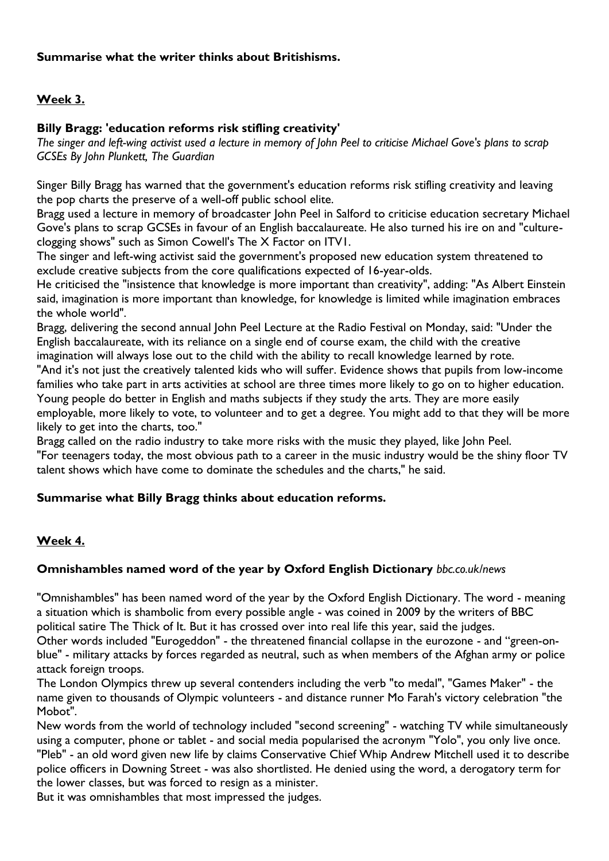## **Summarise what the writer thinks about Britishisms.**

## **Week 3.**

#### **Billy Bragg: 'education reforms risk stifling creativity'**

*The singer and left-wing activist used a lecture in memory of John Peel to criticise Michael Gove's plans to scrap GCSEs By John Plunkett, The Guardian* 

Singer Billy Bragg has warned that the government's education reforms risk stifling creativity and leaving the pop charts the preserve of a well-off public school elite.

Bragg used a lecture in memory of broadcaster John Peel in Salford to criticise education secretary Michael Gove's plans to scrap GCSEs in favour of an English baccalaureate. He also turned his ire on and "cultureclogging shows" such as Simon Cowell's The X Factor on ITV1.

The singer and left-wing activist said the government's proposed new education system threatened to exclude creative subjects from the core qualifications expected of 16-year-olds.

He criticised the "insistence that knowledge is more important than creativity", adding: "As Albert Einstein said, imagination is more important than knowledge, for knowledge is limited while imagination embraces the whole world".

Bragg, delivering the second annual John Peel Lecture at the Radio Festival on Monday, said: "Under the English baccalaureate, with its reliance on a single end of course exam, the child with the creative imagination will always lose out to the child with the ability to recall knowledge learned by rote.

"And it's not just the creatively talented kids who will suffer. Evidence shows that pupils from low-income families who take part in arts activities at school are three times more likely to go on to higher education. Young people do better in English and maths subjects if they study the arts. They are more easily employable, more likely to vote, to volunteer and to get a degree. You might add to that they will be more likely to get into the charts, too."

Bragg called on the radio industry to take more risks with the music they played, like John Peel. "For teenagers today, the most obvious path to a career in the music industry would be the shiny floor TV talent shows which have come to dominate the schedules and the charts," he said.

#### **Summarise what Billy Bragg thinks about education reforms.**

#### **Week 4.**

## **Omnishambles named word of the year by Oxford English Dictionary** *bbc.co.uk/news*

"Omnishambles" has been named word of the year by the Oxford English Dictionary. The word - meaning a situation which is shambolic from every possible angle - was coined in 2009 by the writers of BBC political satire The Thick of It. But it has crossed over into real life this year, said the judges.

Other words included "Eurogeddon" - the threatened financial collapse in the eurozone - and "green-onblue" - military attacks by forces regarded as neutral, such as when members of the Afghan army or police attack foreign troops.

The London Olympics threw up several contenders including the verb "to medal", "Games Maker" - the name given to thousands of Olympic volunteers - and distance runner Mo Farah's victory celebration "the Mobot".

New words from the world of technology included "second screening" - watching TV while simultaneously using a computer, phone or tablet - and social media popularised the acronym "Yolo", you only live once. "Pleb" - an old word given new life by claims Conservative Chief Whip Andrew Mitchell used it to describe police officers in Downing Street - was also shortlisted. He denied using the word, a derogatory term for the lower classes, but was forced to resign as a minister.

But it was omnishambles that most impressed the judges.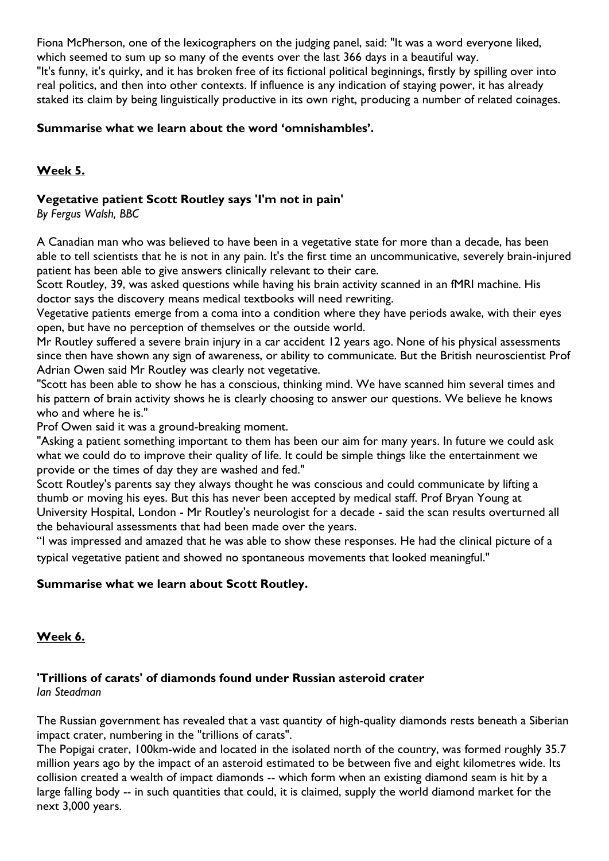Fiona McPherson, one of the lexicographers on the judging panel, said: "It was a word everyone liked, which seemed to sum up so many of the events over the last 366 days in a beautiful way. "It's funny, it's quirky, and it has broken free of its fictional political beginnings, firstly by spilling over into real politics, and then into other contexts. If influence is any indication of staying power, it has already staked its claim by being linguistically productive in its own right, producing a number of related coinages.

#### **Summarise what we learn about the word 'omnishambles'.**

## **Week 5.**

## **Vegetative patient Scott Routley says 'I'm not in pain'**

*By Fergus Walsh, BBC* 

A Canadian man who was believed to have been in a vegetative state for more than a decade, has been able to tell scientists that he is not in any pain. It's the first time an uncommunicative, severely brain-injured patient has been able to give answers clinically relevant to their care.

Scott Routley, 39, was asked questions while having his brain activity scanned in an fMRI machine. His doctor says the discovery means medical textbooks will need rewriting.

Vegetative patients emerge from a coma into a condition where they have periods awake, with their eyes open, but have no perception of themselves or the outside world.

Mr Routley suffered a severe brain injury in a car accident 12 years ago. None of his physical assessments since then have shown any sign of awareness, or ability to communicate. But the British neuroscientist Prof Adrian Owen said Mr Routley was clearly not vegetative.

"Scott has been able to show he has a conscious, thinking mind. We have scanned him several times and his pattern of brain activity shows he is clearly choosing to answer our questions. We believe he knows who and where he is."

Prof Owen said it was a ground-breaking moment.

"Asking a patient something important to them has been our aim for many years. In future we could ask what we could do to improve their quality of life. It could be simple things like the entertainment we provide or the times of day they are washed and fed."

Scott Routley's parents say they always thought he was conscious and could communicate by lifting a thumb or moving his eyes. But this has never been accepted by medical staff. Prof Bryan Young at University Hospital, London - Mr Routley's neurologist for a decade - said the scan results overturned all the behavioural assessments that had been made over the years.

"I was impressed and amazed that he was able to show these responses. He had the clinical picture of a typical vegetative patient and showed no spontaneous movements that looked meaningful."

## **Summarise what we learn about Scott Routley.**

## **Week 6.**

## **'Trillions of carats' of diamonds found under Russian asteroid crater**

*Ian Steadman* 

The Russian government has revealed that a vast quantity of high-quality diamonds rests beneath a Siberian impact crater, numbering in the "trillions of carats".

The Popigai crater, 100km-wide and located in the isolated north of the country, was formed roughly 35.7 million years ago by the impact of an asteroid estimated to be between five and eight kilometres wide. Its collision created a wealth of impact diamonds -- which form when an existing diamond seam is hit by a large falling body -- in such quantities that could, it is claimed, supply the world diamond market for the next 3,000 years.